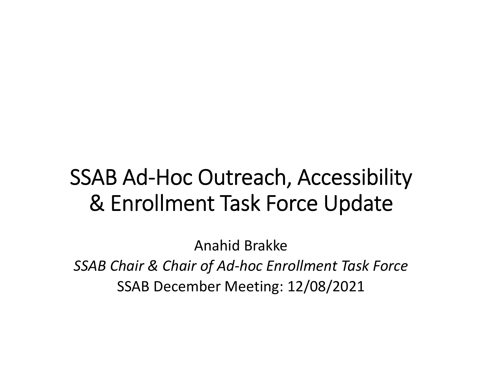# SSAB Ad-Hoc Outreach, Accessibility & Enrollment Task Force Update

Anahid Brakke *SSAB Chair & Chair of Ad‐hoc Enrollment Task Force* SSAB December Meeting: 12/08/2021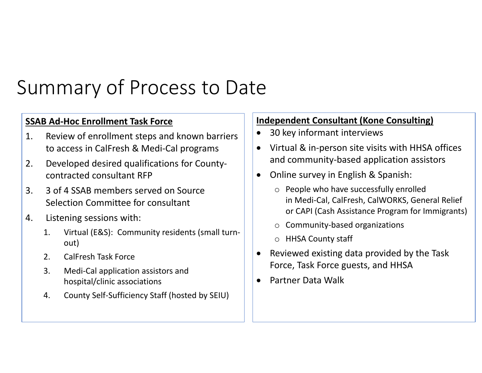## Summary of Process to Date

#### **SSAB Ad‐Hoc Enrollment Task Force**

- 1. Review of enrollment steps and known barriers to access in CalFresh & Medi‐Cal programs
- 2. Developed desired qualifications for County‐ contracted consultant RFP
- 3. 33 of 4 SSAB members served on Source Selection Committee for consultant
- 4. Listening sessions with:
	- 1. Virtual (E&S): Community residents (small turn‐ out)
	- 2. CalFresh Task Force
	- 3. Medi‐Cal application assistors and hospital/clinic associations
	- 4. County Self-Sufficiency Staff (hosted by SEIU)

#### **Independent Consultant (Kone Consulting)**

- $\bullet$ 30 key informant interviews
- $\bullet$ ● Virtual & in-person site visits with HHSA offices and community‐based application assistors
- $\bullet$ **•** Online survey in English & Spanish:
	- o People who have successfully enrolled in Medi‐Cal, CalFresh, CalWORKS, General Relief or CAPI (Cash Assistance Program for Immigrants)
	- o Community‐based organizations
	- o HHSA County staff
- $\bullet$  Reviewed existing data provided by the Task Force, Task Force guests, and HHSA
- $\bullet$ Partner Data Walk